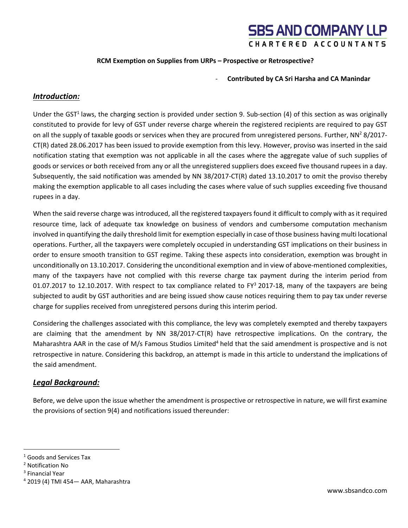#### **RCM Exemption on Supplies from URPs – Prospective or Retrospective?**

#### - **Contributed by CA Sri Harsha and CA Manindar**

#### *Introduction:*

Under the GST<sup>1</sup> laws, the charging section is provided under section 9. Sub-section (4) of this section as was originally constituted to provide for levy of GST under reverse charge wherein the registered recipients are required to pay GST on all the supply of taxable goods or services when they are procured from unregistered persons. Further,  $NN^2 8/2017$ -CT(R) dated 28.06.2017 has been issued to provide exemption from this levy. However, proviso was inserted in the said notification stating that exemption was not applicable in all the cases where the aggregate value of such supplies of goods or services or both received from any or all the unregistered suppliers does exceed five thousand rupees in a day. Subsequently, the said notification was amended by NN 38/2017-CT(R) dated 13.10.2017 to omit the proviso thereby making the exemption applicable to all cases including the cases where value of such supplies exceeding five thousand rupees in a day.

When the said reverse charge was introduced, all the registered taxpayers found it difficult to comply with as it required resource time, lack of adequate tax knowledge on business of vendors and cumbersome computation mechanism involved in quantifying the daily threshold limit for exemption especially in case of those business having multi locational operations. Further, all the taxpayers were completely occupied in understanding GST implications on their business in order to ensure smooth transition to GST regime. Taking these aspects into consideration, exemption was brought in unconditionally on 13.10.2017. Considering the unconditional exemption and in view of above-mentioned complexities, many of the taxpayers have not complied with this reverse charge tax payment during the interim period from 01.07.2017 to 12.10.2017. With respect to tax compliance related to  $FY^3$  2017-18, many of the taxpayers are being subjected to audit by GST authorities and are being issued show cause notices requiring them to pay tax under reverse charge for supplies received from unregistered persons during this interim period.

Considering the challenges associated with this compliance, the levy was completely exempted and thereby taxpayers are claiming that the amendment by NN 38/2017-CT(R) have retrospective implications. On the contrary, the Maharashtra AAR in the case of M/s Famous Studios Limited<sup>4</sup> held that the said amendment is prospective and is not retrospective in nature. Considering this backdrop, an attempt is made in this article to understand the implications of the said amendment.

#### *Legal Background:*

Before, we delve upon the issue whether the amendment is prospective or retrospective in nature, we will first examine the provisions of section 9(4) and notifications issued thereunder:

<sup>1</sup> Goods and Services Tax

<sup>2</sup> Notification No

<sup>3</sup> Financial Year

<sup>4</sup> 2019 (4) TMI 454— AAR, Maharashtra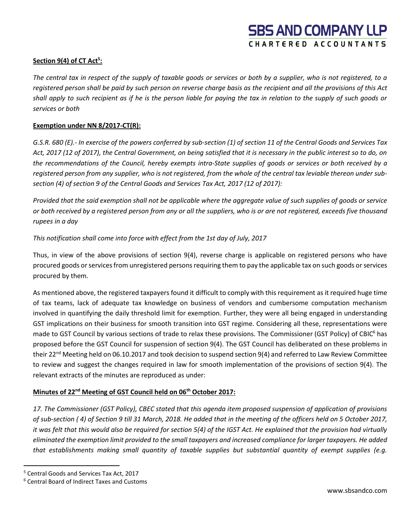### **Section 9(4) of CT Act<sup>5</sup> :**

*The central tax in respect of the supply of taxable goods or services or both by a supplier, who is not registered, to a registered person shall be paid by such person on reverse charge basis as the recipient and all the provisions of this Act shall apply to such recipient as if he is the person liable for paying the tax in relation to the supply of such goods or services or both*

### **Exemption under NN 8/2017-CT(R):**

*G.S.R. 680 (E).- In exercise of the powers conferred by sub-section (1) of section 11 of the Central Goods and Services Tax Act, 2017 (12 of 2017), the Central Government, on being satisfied that it is necessary in the public interest so to do, on the recommendations of the Council, hereby exempts intra-State supplies of goods or services or both received by a registered person from any supplier, who is not registered, from the whole of the central tax leviable thereon under subsection (4) of section 9 of the Central Goods and Services Tax Act, 2017 (12 of 2017):*

*Provided that the said exemption shall not be applicable where the aggregate value of such supplies of goods or service or both received by a registered person from any or all the suppliers, who is or are not registered, exceeds five thousand rupees in a day*

### *This notification shall come into force with effect from the 1st day of July, 2017*

Thus, in view of the above provisions of section 9(4), reverse charge is applicable on registered persons who have procured goods or services from unregistered persons requiring them to pay the applicable tax on such goods or services procured by them.

As mentioned above, the registered taxpayers found it difficult to comply with this requirement as it required huge time of tax teams, lack of adequate tax knowledge on business of vendors and cumbersome computation mechanism involved in quantifying the daily threshold limit for exemption. Further, they were all being engaged in understanding GST implications on their business for smooth transition into GST regime. Considering all these, representations were made to GST Council by various sections of trade to relax these provisions. The Commissioner (GST Policy) of CBIC<sup>6</sup> has proposed before the GST Council for suspension of section 9(4). The GST Council has deliberated on these problems in their 22<sup>nd</sup> Meeting held on 06.10.2017 and took decision to suspend section 9(4) and referred to Law Review Committee to review and suggest the changes required in law for smooth implementation of the provisions of section 9(4). The relevant extracts of the minutes are reproduced as under:

### **Minutes of 22nd Meeting of GST Council held on 06th October 2017:**

*17. The Commissioner (GST Policy), CBEC stated that this agenda item proposed suspension of application of provisions of sub-section ( 4) of Section 9 till 31 March, 2018. He added that in the meeting of the officers held on 5 October 2017, it was felt that this would also be required for section 5(4) of the IGST Act. He explained that the provision had virtually eliminated the exemption limit provided to the small taxpayers and increased compliance for larger taxpayers. He added that establishments making small quantity of taxable supplies but substantial quantity of exempt supplies (e.g.* 

<sup>5</sup> Central Goods and Services Tax Act, 2017

<sup>6</sup> Central Board of Indirect Taxes and Customs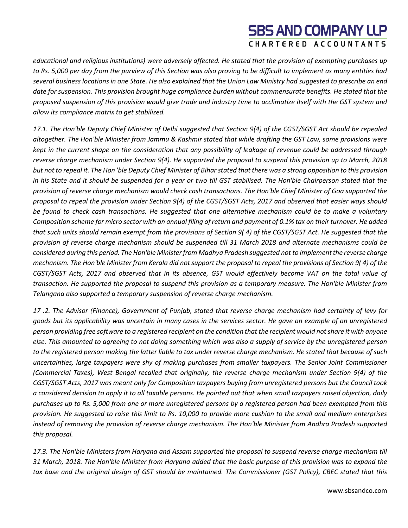*educational and religious institutions) were adversely affected. He stated that the provision of exempting purchases up to Rs. 5,000 per day from the purview of this Section was also proving to be difficult to implement as many entities had several business locations in one State. He also explained that the Union Law Ministry had suggested to prescribe an end date for suspension. This provision brought huge compliance burden without commensurate benefits. He stated that the proposed suspension of this provision would give trade and industry time to acclimatize itself with the GST system and allow its compliance matrix to get stabilized.*

*17.1. The Hon'ble Deputy Chief Minister of Delhi suggested that Section 9(4) of the CGST/SGST Act should be repealed altogether. The Hon'ble Minister from Jammu & Kashmir stated that while drafting the GST Law, some provisions were kept in the current shape on the consideration that any possibility of leakage of revenue could be addressed through reverse charge mechanism under Section 9(4). He supported the proposal to suspend this provision up to March, 2018 but not to repeal it. The Hon 'ble Deputy Chief Minister of Bihar stated that there was a strong opposition to this provision in his State and it should be suspended for a year or two till GST stabilised. The Hon'ble Chairperson stated that the provision of reverse charge mechanism would check cash transactions. The Hon'ble Chief Minister of Goa supported the proposal to repeal the provision under Section 9(4) of the CGST/SGST Acts, 2017 and observed that easier ways should be found to check cash transactions. He suggested that one alternative mechanism could be to make a voluntary Composition scheme for micro sector with an annual filing of return and payment of 0.1% tax on their turnover. He added that such units should remain exempt from the provisions of Section 9( 4) of the CGST/SGST Act. He suggested that the provision of reverse charge mechanism should be suspended till 31 March 2018 and alternate mechanisms could be considered during this period. The Hon'ble Minister from Madhya Pradesh suggested not to implement the reverse charge mechanism. The Hon'ble Minister from Kerala did not support the proposal to repeal the provisions of Section 9( 4) of the CGST/SGST Acts, 2017 and observed that in its absence, GST would effectively become VAT on the total value of transaction. He supported the proposal to suspend this provision as a temporary measure. The Hon'ble Minister from Telangana also supported a temporary suspension of reverse charge mechanism.*

*17 .2. The Advisor (Finance), Government of Punjab, stated that reverse charge mechanism had certainty of levy for goods but its applicability was uncertain in many cases in the services sector. He gave an example of an unregistered person providing free software to a registered recipient on the condition that the recipient would not share it with anyone else. This amounted to agreeing to not doing something which was also a supply of service by the unregistered person to the registered person making the latter liable to tax under reverse charge mechanism. He stated that because of such uncertainties, large taxpayers were shy of making purchases from smaller taxpayers. The Senior Joint Commissioner (Commercial Taxes), West Bengal recalled that originally, the reverse charge mechanism under Section 9(4) of the CGST/SGST Acts, 2017 was meant only for Composition taxpayers buying from unregistered persons but the Council took a considered decision to apply it to all taxable persons. He pointed out that when small taxpayers raised objection, daily purchases up to Rs. 5,000 from one or more unregistered persons by a registered person had been exempted from this provision. He suggested to raise this limit to Rs. 10,000 to provide more cushion to the small and medium enterprises instead of removing the provision of reverse charge mechanism. The Hon'ble Minister from Andhra Pradesh supported this proposal.*

*17.3. The Hon'ble Ministers from Haryana and Assam supported the proposal to suspend reverse charge mechanism till 31 March, 2018. The Hon'ble Minister from Haryana added that the basic purpose of this provision was to expand the tax base and the original design of GST should be maintained. The Commissioner (GST Policy), CBEC stated that this*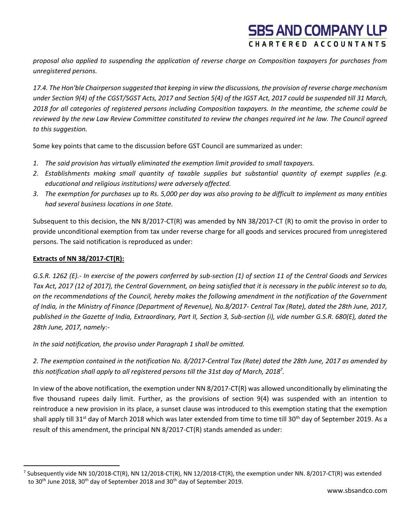*proposal also applied to suspending the application of reverse charge on Composition taxpayers for purchases from unregistered persons.*

*17.4. The Hon'ble Chairperson suggested that keeping in view the discussions, the provision of reverse charge mechanism under Section 9(4) of the CGST/SGST Acts, 2017 and Section 5(4) of the IGST Act, 2017 could be suspended till 31 March, 2018 for all categories of registered persons including Composition taxpayers. In the meantime, the scheme could be reviewed by the new Law Review Committee constituted to review the changes required int he law. The Council agreed to this suggestion.*

Some key points that came to the discussion before GST Council are summarized as under:

- *1. The said provision has virtually eliminated the exemption limit provided to small taxpayers.*
- *2. Establishments making small quantity of taxable supplies but substantial quantity of exempt supplies (e.g. educational and religious institutions) were adversely affected.*
- *3. The exemption for purchases up to Rs. 5,000 per day was also proving to be difficult to implement as many entities had several business locations in one State.*

Subsequent to this decision, the NN 8/2017-CT(R) was amended by NN 38/2017-CT (R) to omit the proviso in order to provide unconditional exemption from tax under reverse charge for all goods and services procured from unregistered persons. The said notification is reproduced as under:

### **Extracts of NN 38/2017-CT(R):**

*G.S.R. 1262 (E).- In exercise of the powers conferred by sub-section (1) of section 11 of the Central Goods and Services Tax Act, 2017 (12 of 2017), the Central Government, on being satisfied that it is necessary in the public interest so to do, on the recommendations of the Council, hereby makes the following amendment in the notification of the Government of India, in the Ministry of Finance (Department of Revenue), No.8/2017- Central Tax (Rate), dated the 28th June, 2017, published in the Gazette of India, Extraordinary, Part II, Section 3, Sub-section (i), vide number G.S.R. 680(E), dated the 28th June, 2017, namely:-*

*In the said notification, the proviso under Paragraph 1 shall be omitted.*

*2. The exemption contained in the notification No. 8/2017-Central Tax (Rate) dated the 28th June, 2017 as amended by this notification shall apply to all registered persons till the 31st day of March, 2018 7 .*

In view of the above notification, the exemption under NN 8/2017-CT(R) was allowed unconditionally by eliminating the five thousand rupees daily limit. Further, as the provisions of section 9(4) was suspended with an intention to reintroduce a new provision in its place, a sunset clause was introduced to this exemption stating that the exemption shall apply till 31<sup>st</sup> day of March 2018 which was later extended from time to time till 30<sup>th</sup> day of September 2019. As a result of this amendment, the principal NN 8/2017-CT(R) stands amended as under:

<sup>&</sup>lt;sup>7</sup> Subsequently vide NN 10/2018-CT(R), NN 12/2018-CT(R), NN 12/2018-CT(R), the exemption under NN. 8/2017-CT(R) was extended to 30<sup>th</sup> June 2018, 30<sup>th</sup> day of September 2018 and 30<sup>th</sup> day of September 2019.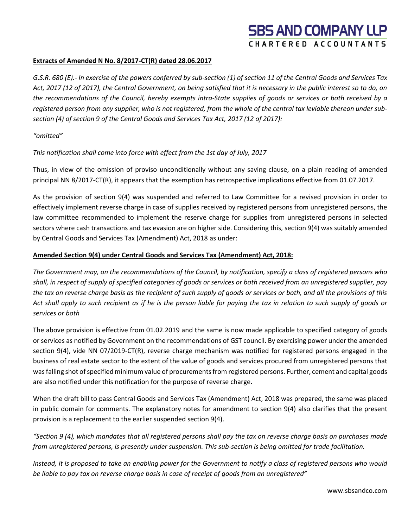#### **Extracts of Amended N No. 8/2017-CT(R) dated 28.06.2017**

*G.S.R. 680 (E).- In exercise of the powers conferred by sub-section (1) of section 11 of the Central Goods and Services Tax Act, 2017 (12 of 2017), the Central Government, on being satisfied that it is necessary in the public interest so to do, on the recommendations of the Council, hereby exempts intra-State supplies of goods or services or both received by a registered person from any supplier, who is not registered, from the whole of the central tax leviable thereon under subsection (4) of section 9 of the Central Goods and Services Tax Act, 2017 (12 of 2017):*

#### *"omitted"*

#### *This notification shall come into force with effect from the 1st day of July, 2017*

Thus, in view of the omission of proviso unconditionally without any saving clause, on a plain reading of amended principal NN 8/2017-CT(R), it appears that the exemption has retrospective implications effective from 01.07.2017.

As the provision of section 9(4) was suspended and referred to Law Committee for a revised provision in order to effectively implement reverse charge in case of supplies received by registered persons from unregistered persons, the law committee recommended to implement the reserve charge for supplies from unregistered persons in selected sectors where cash transactions and tax evasion are on higher side. Considering this, section 9(4) was suitably amended by Central Goods and Services Tax (Amendment) Act, 2018 as under:

#### **Amended Section 9(4) under Central Goods and Services Tax (Amendment) Act, 2018:**

*The Government may, on the recommendations of the Council, by notification, specify a class of registered persons who shall, in respect of supply of specified categories of goods or services or both received from an unregistered supplier, pay the tax on reverse charge basis as the recipient of such supply of goods or services or both, and all the provisions of this Act shall apply to such recipient as if he is the person liable for paying the tax in relation to such supply of goods or services or both*

The above provision is effective from 01.02.2019 and the same is now made applicable to specified category of goods or services as notified by Government on the recommendations of GST council. By exercising power under the amended section 9(4), vide NN 07/2019-CT(R), reverse charge mechanism was notified for registered persons engaged in the business of real estate sector to the extent of the value of goods and services procured from unregistered persons that was falling shot of specified minimum value of procurements from registered persons. Further, cement and capital goods are also notified under this notification for the purpose of reverse charge.

When the draft bill to pass Central Goods and Services Tax (Amendment) Act, 2018 was prepared, the same was placed in public domain for comments. The explanatory notes for amendment to section 9(4) also clarifies that the present provision is a replacement to the earlier suspended section 9(4).

*"Section 9 (4), which mandates that all registered persons shall pay the tax on reverse charge basis on purchases made from unregistered persons, is presently under suspension. This sub-section is being omitted for trade facilitation.*

*Instead, it is proposed to take an enabling power for the Government to notify a class of registered persons who would be liable to pay tax on reverse charge basis in case of receipt of goods from an unregistered"*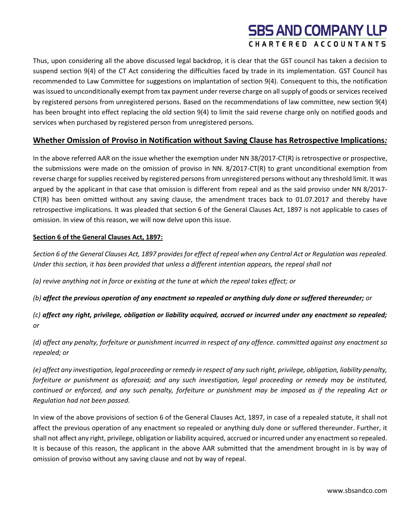Thus, upon considering all the above discussed legal backdrop, it is clear that the GST council has taken a decision to suspend section 9(4) of the CT Act considering the difficulties faced by trade in its implementation. GST Council has recommended to Law Committee for suggestions on implantation of section 9(4). Consequent to this, the notification was issued to unconditionally exempt from tax payment under reverse charge on all supply of goods or services received by registered persons from unregistered persons. Based on the recommendations of law committee, new section 9(4) has been brought into effect replacing the old section 9(4) to limit the said reverse charge only on notified goods and services when purchased by registered person from unregistered persons.

### **Whether Omission of Proviso in Notification without Saving Clause has Retrospective Implications***:*

In the above referred AAR on the issue whether the exemption under NN 38/2017-CT(R) is retrospective or prospective, the submissions were made on the omission of proviso in NN. 8/2017-CT(R) to grant unconditional exemption from reverse charge for supplies received by registered persons from unregistered persons without any threshold limit. It was argued by the applicant in that case that omission is different from repeal and as the said proviso under NN 8/2017-  $CT(R)$  has been omitted without any saving clause, the amendment traces back to 01.07.2017 and thereby have retrospective implications. It was pleaded that section 6 of the General Clauses Act, 1897 is not applicable to cases of omission. In view of this reason, we will now delve upon this issue.

#### **Section 6 of the General Clauses Act, 1897:**

*Section 6 of the General Clauses Act, 1897 provides for effect of repeal when any Central Act or Regulation was repealed. Under this section, it has been provided that unless a different intention appears, the repeal shall not* 

*(a) revive anything not in force or existing at the tune at which the repeal takes effect; or*

*(b) affect the previous operation of any enactment so repealed or anything duly done or suffered thereunder; or*

*(c) affect any right, privilege, obligation or liability acquired, accrued or incurred under any enactment so repealed; or*

*(d) affect any penalty, forfeiture or punishment incurred in respect of any offence. committed against any enactment so repealed; or*

*(e) affect any investigation, legal proceeding or remedy in respect of any such right, privilege, obligation, liability penalty, forfeiture or punishment as aforesaid; and any such investigation, legal proceeding or remedy may be instituted, continued or enforced, and any such penalty, forfeiture or punishment may be imposed as if the repealing Act or Regulation had not been passed.*

In view of the above provisions of section 6 of the General Clauses Act, 1897, in case of a repealed statute, it shall not affect the previous operation of any enactment so repealed or anything duly done or suffered thereunder. Further, it shall not affect any right, privilege, obligation or liability acquired, accrued or incurred under any enactment so repealed. It is because of this reason, the applicant in the above AAR submitted that the amendment brought in is by way of omission of proviso without any saving clause and not by way of repeal.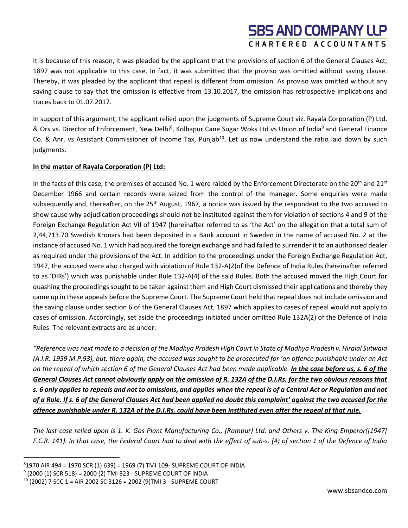It is because of this reason, it was pleaded by the applicant that the provisions of section 6 of the General Clauses Act, 1897 was not applicable to this case. In fact, it was submitted that the proviso was omitted without saving clause. Thereby, it was pleaded by the applicant that repeal is different from omission. As proviso was omitted without any saving clause to say that the omission is effective from 13.10.2017, the omission has retrospective implications and traces back to 01.07.2017.

In support of this argument, the applicant relied upon the judgments of Supreme Court viz. Rayala Corporation (P) Ltd. & Ors vs. Director of Enforcement, New Delhi<sup>8</sup>, Kolhapur Cane Sugar Woks Ltd vs Union of India<sup>9</sup> and General Finance Co. & Anr. vs Assistant Commissioner of Income Tax, Punjab<sup>10</sup>. Let us now understand the ratio laid down by such judgments.

### **In the matter of Rayala Corporation (P) Ltd:**

In the facts of this case, the premises of accused No. 1 were raided by the Enforcement Directorate on the 20<sup>th</sup> and 21<sup>st</sup> December 1966 and certain records were seized from the control of the manager. Some enquiries were made subsequently and, thereafter, on the 25<sup>th</sup> August, 1967, a notice was issued by the respondent to the two accused to show cause why adjudication proceedings should not be instituted against them for violation of sections 4 and 9 of the Foreign Exchange Regulation Act VII of 1947 (hereinafter referred to as 'the Act' on the allegation that a total sum of 2,44,713.70 Swedish Kronars had been deposited in a Bank account in Sweden in the name of accused No. 2 at the instance of accused No. 1 which had acquired the foreign exchange and had failed to surrender it to an authorised dealer as required under the provisions of the Act. In addition to the proceedings under the Foreign Exchange Regulation Act, 1947, the accused were also charged with violation of Rule 132-A(2)of the Defence of India Rules (hereinafter referred to as 'DIRs') which was punishable under Rule 132-A(4) of the said Rules. Both the accused moved the High Court for quashing the proceedings sought to be taken against them and High Court dismissed their applications and thereby they came up in these appeals before the Supreme Court. The Supreme Court held that repeal does not include omission and the saving clause under section 6 of the General Clauses Act, 1897 which applies to cases of repeal would not apply to cases of omission. Accordingly, set aside the proceedings initiated under omitted Rule 132A(2) of the Defence of India Rules. The relevant extracts are as under:

*"Reference was next made to a decision of the Madhya Pradesh High Court in State of Madhya Pradesh v. Hiralal Sutwala (A.I.R. 1959 M.P.93), but, there again, the accused was sought to be prosecuted for 'an offence punishable under an Act on the repeal of which section 6 of the General Clauses Act had been made applicable. In the case before us, s. 6 of the General Clauses Act cannot obviously apply on the omission of R. 132A of the D.I.Rs. for the two obvious reasons that s. 6 only applies to repeals and not to omissions, and applies when the repeal is of a Central Act or Regulation and not of a Rule. If s. 6 of the General Clauses Act had been applied no doubt this complaint' against the two accused for the offence punishable under R. 132A of the D.I.Rs. could have been instituted even after the repeal of that rule.*

*The last case relied upon is 1. K. Gas Plant Manufacturing Co., (Rampur) Ltd. and Others v. The King Emperor([1947] F.C.R. 141). In that case, the Federal Court had to deal with the effect of sub-s. (4) of section 1 of the Defence of India* 

 $81970$  AIR 494 = 1970 SCR (1) 639) = 1969 (7) TMI 109- SUPREME COURT OF INDIA

<sup>9</sup> (2000 (1) SCR 518) = 2000 (2) TMI 823 - SUPREME COURT OF INDIA

<sup>10</sup> (2002) 7 SCC 1 = AIR 2002 SC 3126 = 2002 (9)TMI 3 - SUPREME COURT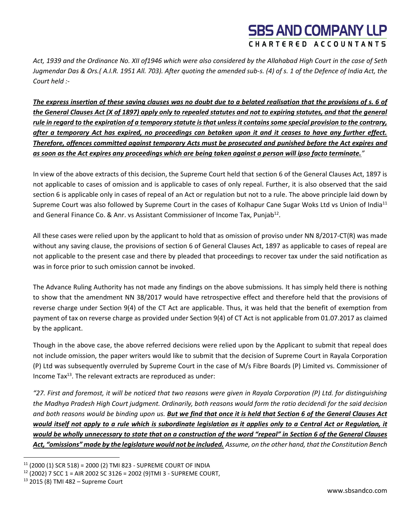*Act, 1939 and the Ordinance No. XII of1946 which were also considered by the Allahabad High Court in the case of Seth Jugmendar Das & Ors.( A.I.R. 1951 All. 703). After quoting the amended sub-s. (4) of s. 1 of the Defence of India Act, the Court held :-*

*The express insertion of these saving clauses was no doubt due to a belated realisation that the provisions of s. 6 of the General Clauses Act (X of 1897) apply only to repealed statutes and not to expiring statutes, and that the general rule in regard to the expiration of a temporary statute is that unless it contains some special provision to the contrary, after a temporary Act has expired, no proceedings can betaken upon it and it ceases to have any further effect. Therefore, offences committed against temporary Acts must be prosecuted and punished before the Act expires and as soon as the Act expires any proceedings which are being taken against a person will ipso facto terminate."*

In view of the above extracts of this decision, the Supreme Court held that section 6 of the General Clauses Act, 1897 is not applicable to cases of omission and is applicable to cases of only repeal. Further, it is also observed that the said section 6 is applicable only in cases of repeal of an Act or regulation but not to a rule. The above principle laid down by Supreme Court was also followed by Supreme Court in the cases of Kolhapur Cane Sugar Woks Ltd vs Union of India<sup>11</sup> and General Finance Co. & Anr. vs Assistant Commissioner of Income Tax, Punjab<sup>12</sup>.

All these cases were relied upon by the applicant to hold that as omission of proviso under NN 8/2017-CT(R) was made without any saving clause, the provisions of section 6 of General Clauses Act, 1897 as applicable to cases of repeal are not applicable to the present case and there by pleaded that proceedings to recover tax under the said notification as was in force prior to such omission cannot be invoked.

The Advance Ruling Authority has not made any findings on the above submissions. It has simply held there is nothing to show that the amendment NN 38/2017 would have retrospective effect and therefore held that the provisions of reverse charge under Section 9(4) of the CT Act are applicable. Thus, it was held that the benefit of exemption from payment of tax on reverse charge as provided under Section 9(4) of CT Act is not applicable from 01.07.2017 as claimed by the applicant.

Though in the above case, the above referred decisions were relied upon by the Applicant to submit that repeal does not include omission, the paper writers would like to submit that the decision of Supreme Court in Rayala Corporation (P) Ltd was subsequently overruled by Supreme Court in the case of M/s Fibre Boards (P) Limited vs. Commissioner of Income Tax<sup>13</sup>. The relevant extracts are reproduced as under:

*"27. First and foremost, it will be noticed that two reasons were given in Rayala Corporation (P) Ltd. for distinguishing the Madhya Pradesh High Court judgment. Ordinarily, both reasons would form the ratio decidendi for the said decision and both reasons would be binding upon us. But we find that once it is held that Section 6 of the General Clauses Act would itself not apply to a rule which is subordinate legislation as it applies only to a Central Act or Regulation, it would be wholly unnecessary to state that on a construction of the word "repeal" in Section 6 of the General Clauses Act, "omissions" made by the legislature would not be included. Assume, on the other hand, that the Constitution Bench* 

 $11$  (2000 (1) SCR 518) = 2000 (2) TMI 823 - SUPREME COURT OF INDIA

 $12$  (2002) 7 SCC 1 = AIR 2002 SC 3126 = 2002 (9)TMI 3 - SUPREME COURT,

<sup>13</sup> 2015 (8) TMI 482 – Supreme Court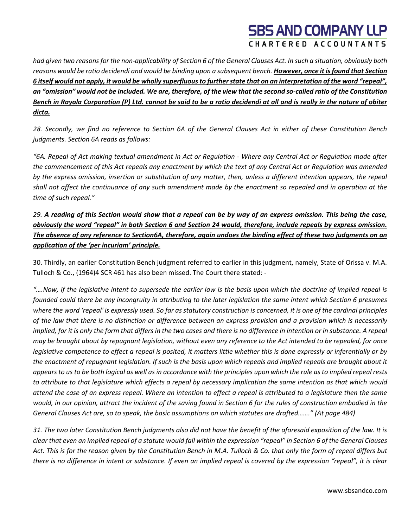*had given two reasons for the non-applicability of Section 6 of the General Clauses Act. In such a situation, obviously both reasons would be ratio decidendi and would be binding upon a subsequent bench. However, once it is found that Section 6 itself would not apply, it would be wholly superfluous to further state that on an interpretation of the word "repeal", an "omission" would not be included. We are, therefore, of the view that the second so-called ratio of the Constitution Bench in Rayala Corporation (P) Ltd. cannot be said to be a ratio decidendi at all and is really in the nature of obiter dicta.*

*28. Secondly, we find no reference to Section 6A of the General Clauses Act in either of these Constitution Bench judgments. Section 6A reads as follows:*

*"6A. Repeal of Act making textual amendment in Act or Regulation - Where any Central Act or Regulation made after the commencement of this Act repeals any enactment by which the text of any Central Act or Regulation was amended by the express omission, insertion or substitution of any matter, then, unless a different intention appears, the repeal shall not affect the continuance of any such amendment made by the enactment so repealed and in operation at the time of such repeal."*

*29. A reading of this Section would show that a repeal can be by way of an express omission. This being the case, obviously the word "repeal" in both Section 6 and Section 24 would, therefore, include repeals by express omission. The absence of any reference to Section6A, therefore, again undoes the binding effect of these two judgments on an application of the 'per incuriam' principle.*

30. Thirdly, an earlier Constitution Bench judgment referred to earlier in this judgment, namely, State of Orissa v. M.A. Tulloch & Co., (1964)4 SCR 461 has also been missed. The Court there stated: -

*"….Now, if the legislative intent to supersede the earlier law is the basis upon which the doctrine of implied repeal is founded could there be any incongruity in attributing to the later legislation the same intent which Section 6 presumes where the word 'repeal' is expressly used. So far as statutory construction is concerned, it is one of the cardinal principles of the law that there is no distinction or difference between an express provision and a provision which is necessarily implied, for it is only the form that differs in the two cases and there is no difference in intention or in substance. A repeal may be brought about by repugnant legislation, without even any reference to the Act intended to be repealed, for once legislative competence to effect a repeal is posited, it matters little whether this is done expressly or inferentially or by the enactment of repugnant legislation. If such is the basis upon which repeals and implied repeals are brought about it appears to us to be both logical as well as in accordance with the principles upon which the rule as to implied repeal rests to attribute to that legislature which effects a repeal by necessary implication the same intention as that which would attend the case of an express repeal. Where an intention to effect a repeal is attributed to a legislature then the same would, in our opinion, attract the incident of the saving found in Section 6 for the rules of construction embodied in the General Clauses Act are, so to speak, the basic assumptions on which statutes are drafted……." (At page 484)*

*31. The two later Constitution Bench judgments also did not have the benefit of the aforesaid exposition of the law. It is clear that even an implied repeal of a statute would fall within the expression "repeal" in Section 6 of the General Clauses Act. This is for the reason given by the Constitution Bench in M.A. Tulloch & Co. that only the form of repeal differs but there is no difference in intent or substance. If even an implied repeal is covered by the expression "repeal", it is clear*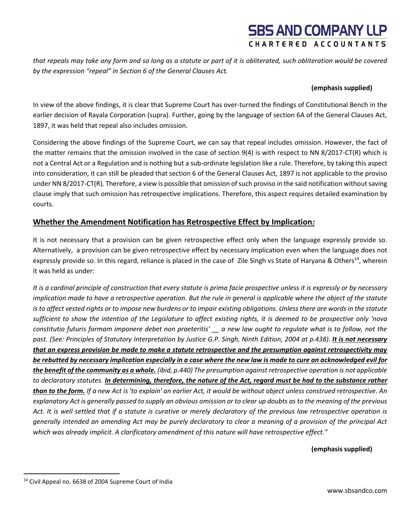*that repeals may take any form and so long as a statute or part of it is obliterated, such obliteration would be covered by the expression "repeal" in Section 6 of the General Clauses Act.*

#### **(emphasis supplied)**

In view of the above findings, it is clear that Supreme Court has over-turned the findings of Constitutional Bench in the earlier decision of Rayala Corporation (supra). Further, going by the language of section 6A of the General Clauses Act, 1897, it was held that repeal also includes omission.

Considering the above findings of the Supreme Court, we can say that repeal includes omission. However, the fact of the matter remains that the omission involved in the case of section 9(4) is with respect to NN 8/2017-CT(R) which is not a Central Act or a Regulation and is nothing but a sub-ordinate legislation like a rule. Therefore, by taking this aspect into consideration, it can still be pleaded that section 6 of the General Clauses Act, 1897 is not applicable to the proviso under NN 8/2017-CT(R). Therefore, a view is possible that omission of such proviso in the said notification without saving clause imply that such omission has retrospective implications. Therefore, this aspect requires detailed examination by courts.

### **Whether the Amendment Notification has Retrospective Effect by Implication***:*

It is not necessary that a provision can be given retrospective effect only when the language expressly provide so. Alternatively, a provision can be given retrospective effect by necessary implication even when the language does not expressly provide so. In this regard, reliance is placed in the case of Zile Singh vs State of Haryana & Others<sup>14</sup>, wherein it was held as under:

*It is a cardinal principle of construction that every statute is prima facie prospective unless it is expressly or by necessary implication made to have a retrospective operation. But the rule in general is applicable where the object of the statute is to affect vested rights or to impose new burdens or to impair existing obligations. Unless there are words in the statute sufficient to show the intention of the Legislature to affect existing rights, it is deemed to be prospective only 'nova constitutio futuris formam imponere debet non praeteritis' \_\_ a new law ought to regulate what is to follow, not the past. (See: Principles of Statutory Interpretation by Justice G.P. Singh, Ninth Edition, 2004 at p.438). It is not necessary that an express provision be made to make a statute retrospective and the presumption against retrospectivity may be rebutted by necessary implication especially in a case where the new law is made to cure an acknowledged evil for the benefit of the community as a whole. (ibid, p.440) The presumption against retrospective operation is not applicable to declaratory statutes. In determining, therefore, the nature of the Act, regard must be had to the substance rather than to the form. If a new Act is 'to explain' an earlier Act, it would be without object unless construed retrospective. An explanatory Act is generally passed to supply an obvious omission or to clear up doubts as to the meaning of the previous Act. It is well settled that if a statute is curative or merely declaratory of the previous law retrospective operation is generally intended an amending Act may be purely declaratory to clear a meaning of a provision of the principal Act which was already implicit. A clarificatory amendment of this nature will have retrospective effect."*

**(emphasis supplied)** 

www.sbsandco.com

<sup>14</sup> Civil Appeal no. 6638 of 2004 Supreme Court of India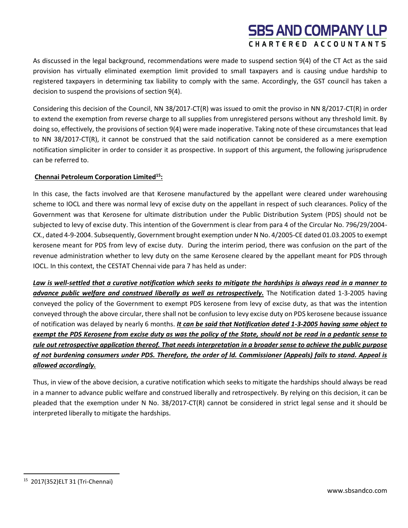As discussed in the legal background, recommendations were made to suspend section 9(4) of the CT Act as the said provision has virtually eliminated exemption limit provided to small taxpayers and is causing undue hardship to registered taxpayers in determining tax liability to comply with the same. Accordingly, the GST council has taken a decision to suspend the provisions of section 9(4).

Considering this decision of the Council, NN 38/2017-CT(R) was issued to omit the proviso in NN 8/2017-CT(R) in order to extend the exemption from reverse charge to all supplies from unregistered persons without any threshold limit. By doing so, effectively, the provisions of section 9(4) were made inoperative. Taking note of these circumstances that lead to NN 38/2017-CT(R), it cannot be construed that the said notification cannot be considered as a mere exemption notification simpliciter in order to consider it as prospective. In support of this argument, the following jurisprudence can be referred to.

#### **Chennai Petroleum Corporation Limited<sup>15</sup>:**

In this case, the facts involved are that Kerosene manufactured by the appellant were cleared under warehousing scheme to IOCL and there was normal levy of excise duty on the appellant in respect of such clearances. Policy of the Government was that Kerosene for ultimate distribution under the Public Distribution System (PDS) should not be subjected to levy of excise duty. This intention of the Government is clear from para 4 of the Circular No. 796/29/2004- CX., dated 4-9-2004. Subsequently, Government brought exemption under N No. 4/2005-CE dated 01.03.2005 to exempt kerosene meant for PDS from levy of excise duty. During the interim period, there was confusion on the part of the revenue administration whether to levy duty on the same Kerosene cleared by the appellant meant for PDS through IOCL. In this context, the CESTAT Chennai vide para 7 has held as under:

*Law is well-settled that a curative notification which seeks to mitigate the hardships is always read in a manner to advance public welfare and construed liberally as well as retrospectively.* The Notification dated 1-3-2005 having conveyed the policy of the Government to exempt PDS kerosene from levy of excise duty, as that was the intention conveyed through the above circular, there shall not be confusion to levy excise duty on PDS kerosene because issuance of notification was delayed by nearly 6 months. *It can be said that Notification dated 1-3-2005 having same object to exempt the PDS Kerosene from excise duty as was the policy of the State, should not be read in a pedantic sense to rule out retrospective application thereof. That needs interpretation in a broader sense to achieve the public purpose of not burdening consumers under PDS. Therefore, the order of ld. Commissioner (Appeals) fails to stand. Appeal is allowed accordingly.*

Thus, in view of the above decision, a curative notification which seeks to mitigate the hardships should always be read in a manner to advance public welfare and construed liberally and retrospectively. By relying on this decision, it can be pleaded that the exemption under N No. 38/2017-CT(R) cannot be considered in strict legal sense and it should be interpreted liberally to mitigate the hardships.

<sup>15</sup> 2017(352)ELT 31 (Tri-Chennai)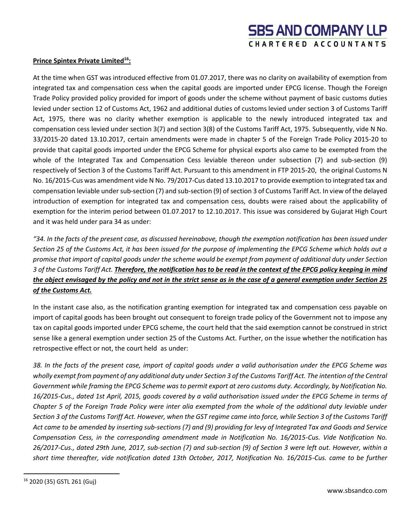#### **Prince Spintex Private Limited<sup>16</sup>:**

At the time when GST was introduced effective from 01.07.2017, there was no clarity on availability of exemption from integrated tax and compensation cess when the capital goods are imported under EPCG license. Though the Foreign Trade Policy provided policy provided for import of goods under the scheme without payment of basic customs duties levied under section 12 of Customs Act, 1962 and additional duties of customs levied under section 3 of Customs Tariff Act, 1975, there was no clarity whether exemption is applicable to the newly introduced integrated tax and compensation cess levied under section 3(7) and section 3(8) of the Customs Tariff Act, 1975. Subsequently, vide N No. 33/2015-20 dated 13.10.2017, certain amendments were made in chapter 5 of the Foreign Trade Policy 2015-20 to provide that capital goods imported under the EPCG Scheme for physical exports also came to be exempted from the whole of the Integrated Tax and Compensation Cess leviable thereon under subsection (7) and sub-section (9) respectively of Section 3 of the Customs Tariff Act. Pursuant to this amendment in FTP 2015-20, the original Customs N No. 16/2015-Cus was amendment vide N No. 79/2017-Cus dated 13.10.2017 to provide exemption to integrated tax and compensation leviable under sub-section (7) and sub-section (9) of section 3 of Customs Tariff Act. In view of the delayed introduction of exemption for integrated tax and compensation cess, doubts were raised about the applicability of exemption for the interim period between 01.07.2017 to 12.10.2017. This issue was considered by Gujarat High Court and it was held under para 34 as under:

*"34. In the facts of the present case, as discussed hereinabove, though the exemption notification has been issued under Section 25 of the Customs Act, it has been issued for the purpose of implementing the EPCG Scheme which holds out a promise that import of capital goods under the scheme would be exempt from payment of additional duty under Section 3 of the Customs Tariff Act. Therefore, the notification has to be read in the context of the EPCG policy keeping in mind the object envisaged by the policy and not in the strict sense as in the case of a general exemption under Section 25 of the Customs Act.*

In the instant case also, as the notification granting exemption for integrated tax and compensation cess payable on import of capital goods has been brought out consequent to foreign trade policy of the Government not to impose any tax on capital goods imported under EPCG scheme, the court held that the said exemption cannot be construed in strict sense like a general exemption under section 25 of the Customs Act. Further, on the issue whether the notification has retrospective effect or not, the court held as under:

*38. In the facts of the present case, import of capital goods under a valid authorisation under the EPCG Scheme was wholly exempt from payment of any additional duty under Section 3 of the Customs Tariff Act. The intention of the Central Government while framing the EPCG Scheme was to permit export at zero customs duty. Accordingly, by Notification No. 16/2015-Cus., dated 1st April, 2015, goods covered by a valid authorisation issued under the EPCG Scheme in terms of Chapter 5 of the Foreign Trade Policy were inter alia exempted from the whole of the additional duty leviable under Section 3 of the Customs Tariff Act. However, when the GST regime came into force, while Section 3 of the Customs Tariff Act came to be amended by inserting sub-sections (7) and (9) providing for levy of Integrated Tax and Goods and Service Compensation Cess, in the corresponding amendment made in Notification No. 16/2015-Cus. Vide Notification No. 26/2017-Cus., dated 29th June, 2017, sub-section (7) and sub-section (9) of Section 3 were left out. However, within a short time thereafter, vide notification dated 13th October, 2017, Notification No. 16/2015-Cus. came to be further* 

<sup>16</sup> 2020 (35) GSTL 261 (Guj)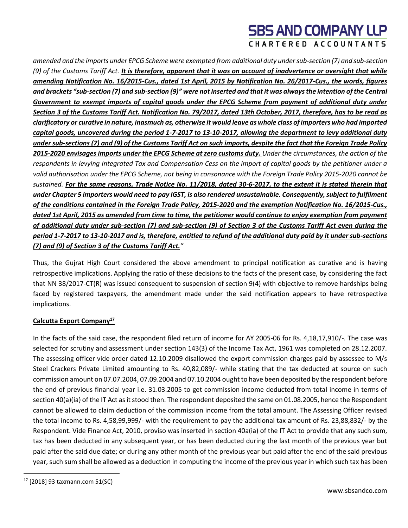*amended and the imports under EPCG Scheme were exempted from additional duty under sub-section (7) and sub-section (9) of the Customs Tariff Act. It is therefore, apparent that it was on account of inadvertence or oversight that while amending Notification No. 16/2015-Cus., dated 1st April, 2015 by Notification No. 26/2017-Cus., the words, figures and brackets "sub-section (7) and sub-section (9)" were not inserted and that it was always the intention of the Central Government to exempt imports of capital goods under the EPCG Scheme from payment of additional duty under Section 3 of the Customs Tariff Act. Notification No. 79/2017, dated 13th October, 2017, therefore, has to be read as clarificatory or curative in nature, inasmuch as, otherwise it would leave as whole class of importers who had imported capital goods, uncovered during the period 1-7-2017 to 13-10-2017, allowing the department to levy additional duty under sub-sections (7) and (9) of the Customs Tariff Act on such imports, despite the fact that the Foreign Trade Policy 2015-2020 envisages imports under the EPCG Scheme at zero customs duty. Under the circumstances, the action of the respondents in levying Integrated Tax and Compensation Cess on the import of capital goods by the petitioner under a valid authorisation under the EPCG Scheme, not being in consonance with the Foreign Trade Policy 2015-2020 cannot be sustained. For the same reasons, Trade Notice No. 11/2018, dated 30-6-2017, to the extent it is stated therein that under Chapter 5 importers would need to pay IGST, is also rendered unsustainable. Consequently, subject to fulfilment of the conditions contained in the Foreign Trade Policy, 2015-2020 and the exemption Notification No. 16/2015-Cus., dated 1st April, 2015 as amended from time to time, the petitioner would continue to enjoy exemption from payment of additional duty under sub-section (7) and sub-section (9) of Section 3 of the Customs Tariff Act even during the period 1-7-2017 to 13-10-2017 and is, therefore, entitled to refund of the additional duty paid by it under sub-sections (7) and (9) of Section 3 of the Customs Tariff Act."*

Thus, the Gujrat High Court considered the above amendment to principal notification as curative and is having retrospective implications. Applying the ratio of these decisions to the facts of the present case, by considering the fact that NN 38/2017-CT(R) was issued consequent to suspension of section 9(4) with objective to remove hardships being faced by registered taxpayers, the amendment made under the said notification appears to have retrospective implications.

### **Calcutta Export Company<sup>17</sup>**

In the facts of the said case, the respondent filed return of income for AY 2005-06 for Rs. 4,18,17,910/-. The case was selected for scrutiny and assessment under section 143(3) of the Income Tax Act, 1961 was completed on 28.12.2007. The assessing officer vide order dated 12.10.2009 disallowed the export commission charges paid by assessee to M/s Steel Crackers Private Limited amounting to Rs. 40,82,089/- while stating that the tax deducted at source on such commission amount on 07.07.2004, 07.09.2004 and 07.10.2004 ought to have been deposited by the respondent before the end of previous financial year i.e. 31.03.2005 to get commission income deducted from total income in terms of section 40(a)(ia) of the IT Act as it stood then. The respondent deposited the same on 01.08.2005, hence the Respondent cannot be allowed to claim deduction of the commission income from the total amount. The Assessing Officer revised the total income to Rs. 4,58,99,999/- with the requirement to pay the additional tax amount of Rs. 23,88,832/- by the Respondent. Vide Finance Act, 2010, proviso was inserted in section 40a(ia) of the IT Act to provide that any such sum, tax has been deducted in any subsequent year, or has been deducted during the last month of the previous year but paid after the said due date; or during any other month of the previous year but paid after the end of the said previous year, such sum shall be allowed as a deduction in computing the income of the previous year in which such tax has been

<sup>17</sup> [2018] 93 taxmann.com 51(SC)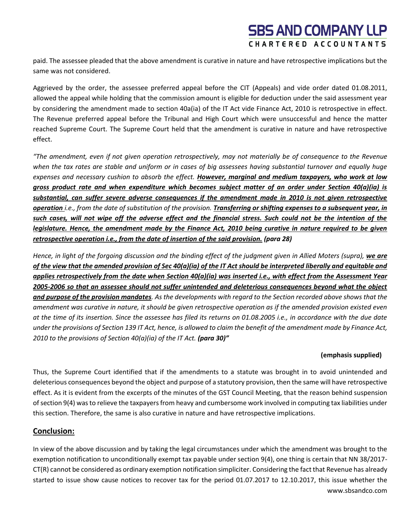paid. The assessee pleaded that the above amendment is curative in nature and have retrospective implications but the same was not considered.

Aggrieved by the order, the assessee preferred appeal before the CIT (Appeals) and vide order dated 01.08.2011, allowed the appeal while holding that the commission amount is eligible for deduction under the said assessment year by considering the amendment made to section 40a(ia) of the IT Act vide Finance Act, 2010 is retrospective in effect. The Revenue preferred appeal before the Tribunal and High Court which were unsuccessful and hence the matter reached Supreme Court. The Supreme Court held that the amendment is curative in nature and have retrospective effect.

*"The amendment, even if not given operation retrospectively, may not materially be of consequence to the Revenue when the tax rates are stable and uniform or in cases of big assessees having substantial turnover and equally huge expenses and necessary cushion to absorb the effect. However, marginal and medium taxpayers, who work at low gross product rate and when expenditure which becomes subject matter of an order under Section 40(a)(ia) is substantial, can suffer severe adverse consequences if the amendment made in 2010 is not given retrospective operation i.e., from the date of substitution of the provision. Transferring or shifting expenses to a subsequent year, in such cases, will not wipe off the adverse effect and the financial stress. Such could not be the intention of the legislature. Hence, the amendment made by the Finance Act, 2010 being curative in nature required to be given retrospective operation i.e., from the date of insertion of the said provision. (para 28)*

*Hence, in light of the forgoing discussion and the binding effect of the judgment given in Allied Moters (supra), we are of the view that the amended provision of Sec 40(a)(ia) of the IT Act should be interpreted liberally and equitable and applies retrospectively from the date when Section 40(a)(ia) was inserted i.e., with effect from the Assessment Year 2005-2006 so that an assessee should not suffer unintended and deleterious consequences beyond what the object and purpose of the provision mandates. As the developments with regard to the Section recorded above shows that the amendment was curative in nature, it should be given retrospective operation as if the amended provision existed even at the time of its insertion. Since the assessee has filed its returns on 01.08.2005 i.e., in accordance with the due date under the provisions of Section 139 IT Act, hence, is allowed to claim the benefit of the amendment made by Finance Act, 2010 to the provisions of Section 40(a)(ia) of the IT Act. (para 30)"*

### **(emphasis supplied)**

Thus, the Supreme Court identified that if the amendments to a statute was brought in to avoid unintended and deleterious consequences beyond the object and purpose of a statutory provision, then the same will have retrospective effect. As it is evident from the excerpts of the minutes of the GST Council Meeting, that the reason behind suspension of section 9(4) was to relieve the taxpayers from heavy and cumbersome work involved in computing tax liabilities under this section. Therefore, the same is also curative in nature and have retrospective implications.

### **Conclusion:**

www.sbsandco.com In view of the above discussion and by taking the legal circumstances under which the amendment was brought to the exemption notification to unconditionally exempt tax payable under section 9(4), one thing is certain that NN 38/2017- CT(R) cannot be considered as ordinary exemption notification simpliciter. Considering the fact that Revenue has already started to issue show cause notices to recover tax for the period 01.07.2017 to 12.10.2017, this issue whether the